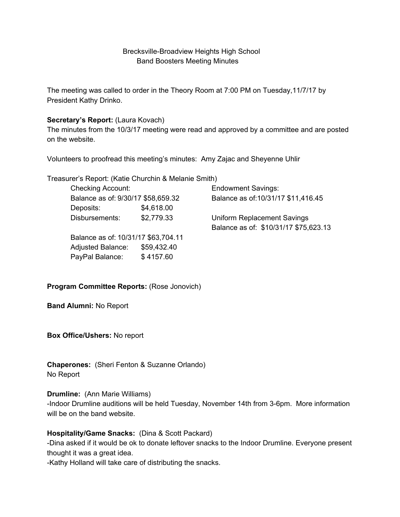#### Brecksville-Broadview Heights High School Band Boosters Meeting Minutes

The meeting was called to order in the Theory Room at 7:00 PM on Tuesday,11/7/17 by President Kathy Drinko.

#### **Secretary's Report:** (Laura Kovach)

The minutes from the 10/3/17 meeting were read and approved by a committee and are posted on the website.

Volunteers to proofread this meeting's minutes: Amy Zajac and Sheyenne Uhlir

Treasurer's Report: (Katie Churchin & Melanie Smith)

| <b>Checking Account:</b>            |             | <b>Endowment Savings:</b>             |
|-------------------------------------|-------------|---------------------------------------|
| Balance as of: 9/30/17 \$58,659.32  |             | Balance as of:10/31/17 \$11,416.45    |
| Deposits:                           | \$4,618.00  |                                       |
| Disbursements:                      | \$2,779.33  | Uniform Replacement Savings           |
|                                     |             | Balance as of: \$10/31/17 \$75,623.13 |
| Balance as of: 10/31/17 \$63,704.11 |             |                                       |
| <b>Adjusted Balance:</b>            | \$59,432.40 |                                       |
| PayPal Balance:                     | \$4157.60   |                                       |

#### **Program Committee Reports:** (Rose Jonovich)

**Band Alumni:** No Report

**Box Office/Ushers:** No report

**Chaperones:** (Sheri Fenton & Suzanne Orlando) No Report

#### **Drumline:** (Ann Marie Williams)

-Indoor Drumline auditions will be held Tuesday, November 14th from 3-6pm. More information will be on the band website.

## **Hospitality/Game Snacks:** (Dina & Scott Packard)

-Dina asked if it would be ok to donate leftover snacks to the Indoor Drumline. Everyone present thought it was a great idea.

-Kathy Holland will take care of distributing the snacks.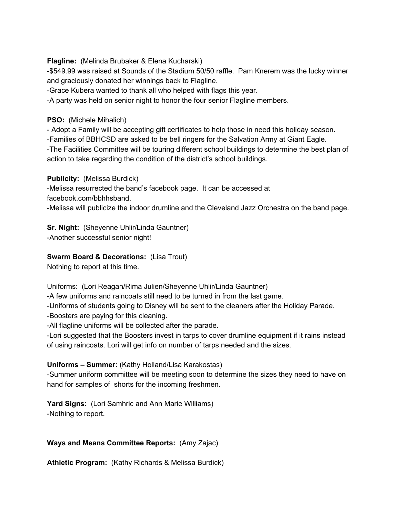**Flagline:** (Melinda Brubaker & Elena Kucharski)

-\$549.99 was raised at Sounds of the Stadium 50/50 raffle. Pam Knerem was the lucky winner and graciously donated her winnings back to Flagline.

-Grace Kubera wanted to thank all who helped with flags this year.

-A party was held on senior night to honor the four senior Flagline members.

**PSO:** (Michele Mihalich)

- Adopt a Family will be accepting gift certificates to help those in need this holiday season.

-Families of BBHCSD are asked to be bell ringers for the Salvation Army at Giant Eagle.

-The Facilities Committee will be touring different school buildings to determine the best plan of action to take regarding the condition of the district's school buildings.

**Publicity:** (Melissa Burdick)

-Melissa resurrected the band's facebook page. It can be accessed at facebook.com/bbhhsband.

-Melissa will publicize the indoor drumline and the Cleveland Jazz Orchestra on the band page.

**Sr. Night:** (Sheyenne Uhlir/Linda Gauntner) -Another successful senior night!

## **Swarm Board & Decorations:** (Lisa Trout)

Nothing to report at this time.

Uniforms: (Lori Reagan/Rima Julien/Sheyenne Uhlir/Linda Gauntner)

-A few uniforms and raincoats still need to be turned in from the last game.

-Uniforms of students going to Disney will be sent to the cleaners after the Holiday Parade.

-Boosters are paying for this cleaning.

-All flagline uniforms will be collected after the parade.

-Lori suggested that the Boosters invest in tarps to cover drumline equipment if it rains instead of using raincoats. Lori will get info on number of tarps needed and the sizes.

## **Uniforms – Summer:** (Kathy Holland/Lisa Karakostas)

-Summer uniform committee will be meeting soon to determine the sizes they need to have on hand for samples of shorts for the incoming freshmen.

**Yard Signs:** (Lori Samhric and Ann Marie Williams) -Nothing to report.

## **Ways and Means Committee Reports:** (Amy Zajac)

**Athletic Program:** (Kathy Richards & Melissa Burdick)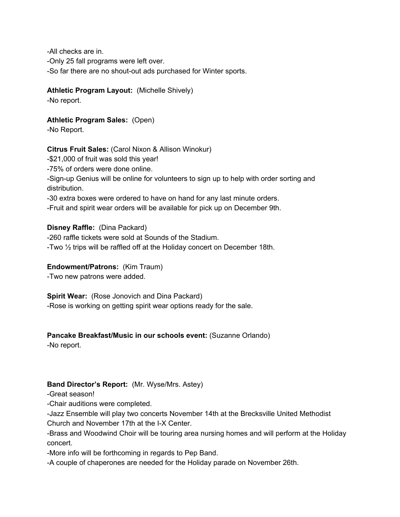-All checks are in. -Only 25 fall programs were left over. -So far there are no shout-out ads purchased for Winter sports.

## **Athletic Program Layout:** (Michelle Shively)

-No report.

**Athletic Program Sales:** (Open) -No Report.

## **Citrus Fruit Sales:** (Carol Nixon & Allison Winokur)

-\$21,000 of fruit was sold this year!

-75% of orders were done online.

-Sign-up Genius will be online for volunteers to sign up to help with order sorting and distribution.

-30 extra boxes were ordered to have on hand for any last minute orders.

-Fruit and spirit wear orders will be available for pick up on December 9th.

**Disney Raffle:** (Dina Packard) -260 raffle tickets were sold at Sounds of the Stadium. -Two ½ trips will be raffled off at the Holiday concert on December 18th.

# **Endowment/Patrons:** (Kim Traum)

-Two new patrons were added.

**Spirit Wear:** (Rose Jonovich and Dina Packard)

-Rose is working on getting spirit wear options ready for the sale.

# **Pancake Breakfast/Music in our schools event:** (Suzanne Orlando)

-No report.

# **Band Director's Report:** (Mr. Wyse/Mrs. Astey)

-Great season!

-Chair auditions were completed.

-Jazz Ensemble will play two concerts November 14th at the Brecksville United Methodist Church and November 17th at the I-X Center.

-Brass and Woodwind Choir will be touring area nursing homes and will perform at the Holiday concert.

-More info will be forthcoming in regards to Pep Band.

-A couple of chaperones are needed for the Holiday parade on November 26th.